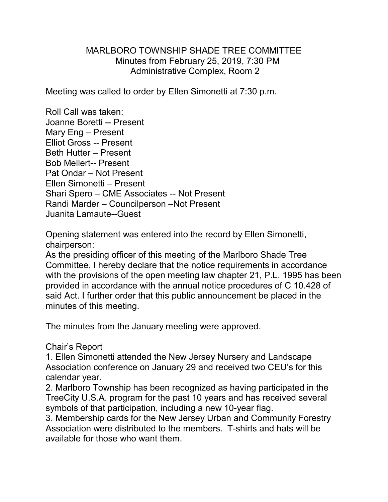## MARLBORO TOWNSHIP SHADE TREE COMMITTEE Minutes from February 25, 2019, 7:30 PM Administrative Complex, Room 2

Meeting was called to order by Ellen Simonetti at 7:30 p.m.

Roll Call was taken: Joanne Boretti -- Present Mary Eng – Present Elliot Gross -- Present Beth Hutter – Present Bob Mellert-- Present Pat Ondar – Not Present Ellen Simonetti – Present Shari Spero – CME Associates -- Not Present Randi Marder – Councilperson –Not Present Juanita Lamaute--Guest

Opening statement was entered into the record by Ellen Simonetti, chairperson:

As the presiding officer of this meeting of the Marlboro Shade Tree Committee, I hereby declare that the notice requirements in accordance with the provisions of the open meeting law chapter 21, P.L. 1995 has been provided in accordance with the annual notice procedures of C 10.428 of said Act. I further order that this public announcement be placed in the minutes of this meeting.

The minutes from the January meeting were approved.

## Chair's Report

1. Ellen Simonetti attended the New Jersey Nursery and Landscape Association conference on January 29 and received two CEU's for this calendar year.

2. Marlboro Township has been recognized as having participated in the TreeCity U.S.A. program for the past 10 years and has received several symbols of that participation, including a new 10-year flag.

3. Membership cards for the New Jersey Urban and Community Forestry Association were distributed to the members. T-shirts and hats will be available for those who want them.